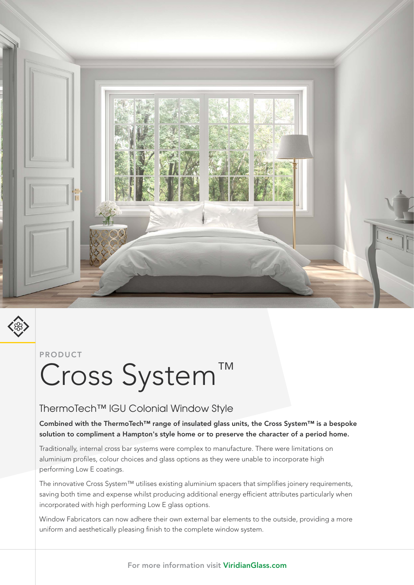



#### PRODUCT

# Cross System™

### ThermoTech™ IGU Colonial Window Style

Combined with the ThermoTech™ range of insulated glass units, the Cross System™ is a bespoke solution to compliment a Hampton's style home or to preserve the character of a period home.

Traditionally, internal cross bar systems were complex to manufacture. There were limitations on aluminium profiles, colour choices and glass options as they were unable to incorporate high performing Low E coatings.

The innovative Cross System™ utilises existing aluminium spacers that simplifies joinery requirements, saving both time and expense whilst producing additional energy efficient attributes particularly when incorporated with high performing Low E glass options.

Window Fabricators can now adhere their own external bar elements to the outside, providing a more uniform and aesthetically pleasing finish to the complete window system.